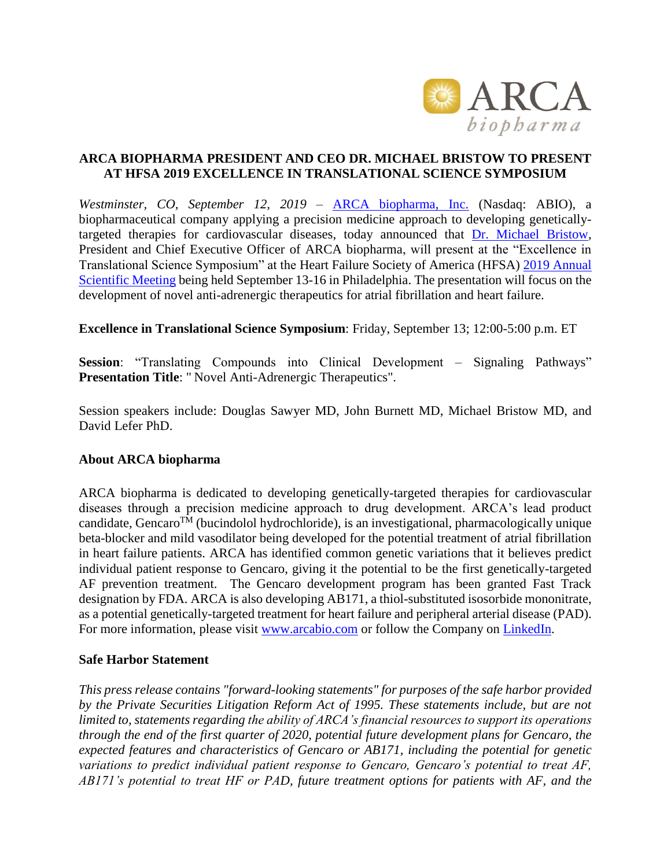

## **ARCA BIOPHARMA PRESIDENT AND CEO DR. MICHAEL BRISTOW TO PRESENT AT HFSA 2019 EXCELLENCE IN TRANSLATIONAL SCIENCE SYMPOSIUM**

*Westminster, CO, September 12, 2019* – [ARCA biopharma, Inc.](http://www.arcabio.com/) (Nasdaq: ABIO), a biopharmaceutical company applying a precision medicine approach to developing geneticallytargeted therapies for cardiovascular diseases, today announced that [Dr. Michael Bristow,](http://arcabio.com/people/michael-bristow/) President and Chief Executive Officer of ARCA biopharma, will present at the "Excellence in Translational Science Symposium" at the Heart Failure Society of America (HFSA) [2019 Annual](https://meeting.hfsa.org/)  [Scientific Meeting](https://meeting.hfsa.org/) being held September 13-16 in Philadelphia. The presentation will focus on the development of novel anti-adrenergic therapeutics for atrial fibrillation and heart failure.

**Excellence in Translational Science Symposium**: Friday, September 13; 12:00-5:00 p.m. ET

**Session**: "Translating Compounds into Clinical Development – Signaling Pathways" **Presentation Title**: " Novel Anti-Adrenergic Therapeutics".

Session speakers include: Douglas Sawyer MD, John Burnett MD, Michael Bristow MD, and David Lefer PhD.

## **About ARCA biopharma**

ARCA biopharma is dedicated to developing genetically-targeted therapies for cardiovascular diseases through a precision medicine approach to drug development. ARCA's lead product candidate, Gencaro<sup>TM</sup> (bucindolol hydrochloride), is an investigational, pharmacologically unique beta-blocker and mild vasodilator being developed for the potential treatment of atrial fibrillation in heart failure patients. ARCA has identified common genetic variations that it believes predict individual patient response to Gencaro, giving it the potential to be the first genetically-targeted AF prevention treatment. The Gencaro development program has been granted Fast Track designation by FDA. ARCA is also developing AB171, a thiol-substituted isosorbide mononitrate, as a potential genetically-targeted treatment for heart failure and peripheral arterial disease (PAD). For more information, please visit [www.arcabio.com](http://www.arcabio.com/) or follow the Company on [LinkedIn.](http://www.linkedin.com/company/arca-biopharma-inc./)

## **Safe Harbor Statement**

*This press release contains "forward-looking statements" for purposes of the safe harbor provided by the Private Securities Litigation Reform Act of 1995. These statements include, but are not limited to, statements regarding the ability of ARCA's financial resources to support its operations through the end of the first quarter of 2020, potential future development plans for Gencaro, the expected features and characteristics of Gencaro or AB171, including the potential for genetic variations to predict individual patient response to Gencaro, Gencaro's potential to treat AF, AB171's potential to treat HF or PAD, future treatment options for patients with AF, and the*